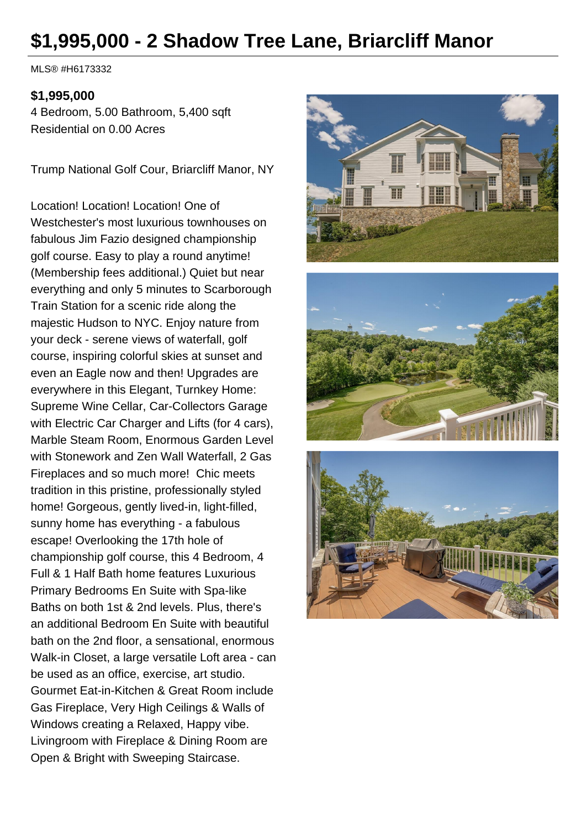# **\$1,995,000 - 2 Shadow Tree Lane, Briarcliff Manor**

MLS® #H6173332

#### **\$1,995,000**

4 Bedroom, 5.00 Bathroom, 5,400 sqft Residential on 0.00 Acres

Trump National Golf Cour, Briarcliff Manor, NY

Location! Location! Location! One of Westchester's most luxurious townhouses on fabulous Jim Fazio designed championship golf course. Easy to play a round anytime! (Membership fees additional.) Quiet but near everything and only 5 minutes to Scarborough Train Station for a scenic ride along the majestic Hudson to NYC. Enjoy nature from your deck - serene views of waterfall, golf course, inspiring colorful skies at sunset and even an Eagle now and then! Upgrades are everywhere in this Elegant, Turnkey Home: Supreme Wine Cellar, Car-Collectors Garage with Electric Car Charger and Lifts (for 4 cars), Marble Steam Room, Enormous Garden Level with Stonework and Zen Wall Waterfall, 2 Gas Fireplaces and so much more! Chic meets tradition in this pristine, professionally styled home! Gorgeous, gently lived-in, light-filled, sunny home has everything - a fabulous escape! Overlooking the 17th hole of championship golf course, this 4 Bedroom, 4 Full & 1 Half Bath home features Luxurious Primary Bedrooms En Suite with Spa-like Baths on both 1st & 2nd levels. Plus, there's an additional Bedroom En Suite with beautiful bath on the 2nd floor, a sensational, enormous Walk-in Closet, a large versatile Loft area - can be used as an office, exercise, art studio. Gourmet Eat-in-Kitchen & Great Room include Gas Fireplace, Very High Ceilings & Walls of Windows creating a Relaxed, Happy vibe. Livingroom with Fireplace & Dining Room are Open & Bright with Sweeping Staircase.





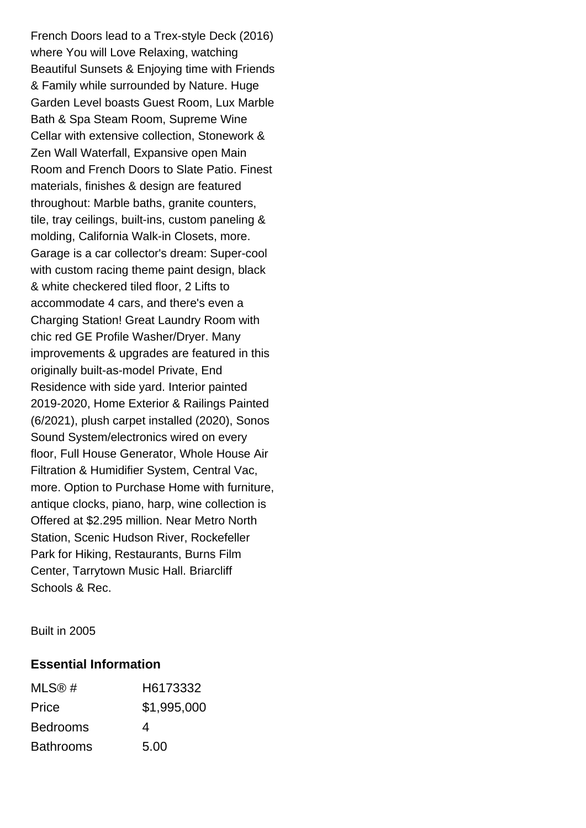French Doors lead to a Trex-style Deck (2016) where You will Love Relaxing, watching Beautiful Sunsets & Enjoying time with Friends & Family while surrounded by Nature. Huge Garden Level boasts Guest Room, Lux Marble Bath & Spa Steam Room, Supreme Wine Cellar with extensive collection, Stonework & Zen Wall Waterfall, Expansive open Main Room and French Doors to Slate Patio. Finest materials, finishes & design are featured throughout: Marble baths, granite counters, tile, tray ceilings, built-ins, custom paneling & molding, California Walk-in Closets, more. Garage is a car collector's dream: Super-cool with custom racing theme paint design, black & white checkered tiled floor, 2 Lifts to accommodate 4 cars, and there's even a Charging Station! Great Laundry Room with chic red GE Profile Washer/Dryer. Many improvements & upgrades are featured in this originally built-as-model Private, End Residence with side yard. Interior painted 2019-2020, Home Exterior & Railings Painted (6/2021), plush carpet installed (2020), Sonos Sound System/electronics wired on every floor, Full House Generator, Whole House Air Filtration & Humidifier System, Central Vac, more. Option to Purchase Home with furniture, antique clocks, piano, harp, wine collection is Offered at \$2.295 million. Near Metro North Station, Scenic Hudson River, Rockefeller Park for Hiking, Restaurants, Burns Film Center, Tarrytown Music Hall. Briarcliff Schools & Rec.

Built in 2005

#### **Essential Information**

| MLS@#            | H6173332    |
|------------------|-------------|
| Price            | \$1,995,000 |
| <b>Bedrooms</b>  | 4           |
| <b>Bathrooms</b> | 5.00        |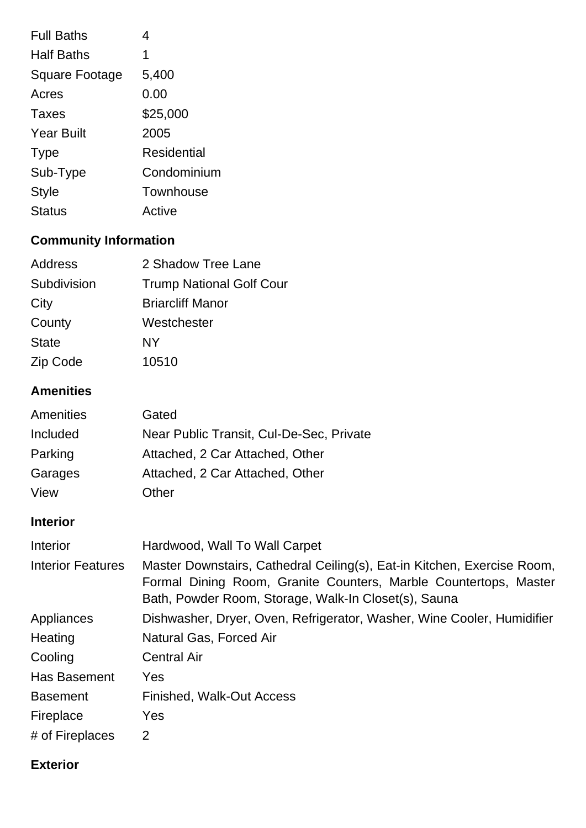| <b>Full Baths</b>     | 4           |
|-----------------------|-------------|
| <b>Half Baths</b>     | 1           |
| <b>Square Footage</b> | 5,400       |
| Acres                 | 0.00        |
| <b>Taxes</b>          | \$25,000    |
| <b>Year Built</b>     | 2005        |
| <b>Type</b>           | Residential |
| Sub-Type              | Condominium |
| Style                 | Townhouse   |
| <b>Status</b>         | Active      |

# **Community Information**

| 2 Shadow Tree Lane              |
|---------------------------------|
| <b>Trump National Golf Cour</b> |
| <b>Briarcliff Manor</b>         |
| Westchester                     |
| NY                              |
| 10510                           |
|                                 |

# **Amenities**

| Amenities | Gated                                    |
|-----------|------------------------------------------|
| Included  | Near Public Transit, Cul-De-Sec, Private |
| Parking   | Attached, 2 Car Attached, Other          |
| Garages   | Attached, 2 Car Attached, Other          |
| View      | Other                                    |

# **Interior**

| Interior                 | Hardwood, Wall To Wall Carpet                                                                                                                                                                       |
|--------------------------|-----------------------------------------------------------------------------------------------------------------------------------------------------------------------------------------------------|
| <b>Interior Features</b> | Master Downstairs, Cathedral Ceiling(s), Eat-in Kitchen, Exercise Room,<br>Formal Dining Room, Granite Counters, Marble Countertops, Master<br>Bath, Powder Room, Storage, Walk-In Closet(s), Sauna |
| Appliances               | Dishwasher, Dryer, Oven, Refrigerator, Washer, Wine Cooler, Humidifier                                                                                                                              |
| Heating                  | Natural Gas, Forced Air                                                                                                                                                                             |
| Cooling                  | <b>Central Air</b>                                                                                                                                                                                  |
| <b>Has Basement</b>      | <b>Yes</b>                                                                                                                                                                                          |
| <b>Basement</b>          | <b>Finished, Walk-Out Access</b>                                                                                                                                                                    |
| Fireplace                | Yes                                                                                                                                                                                                 |
| # of Fireplaces          | 2                                                                                                                                                                                                   |

## **Exterior**